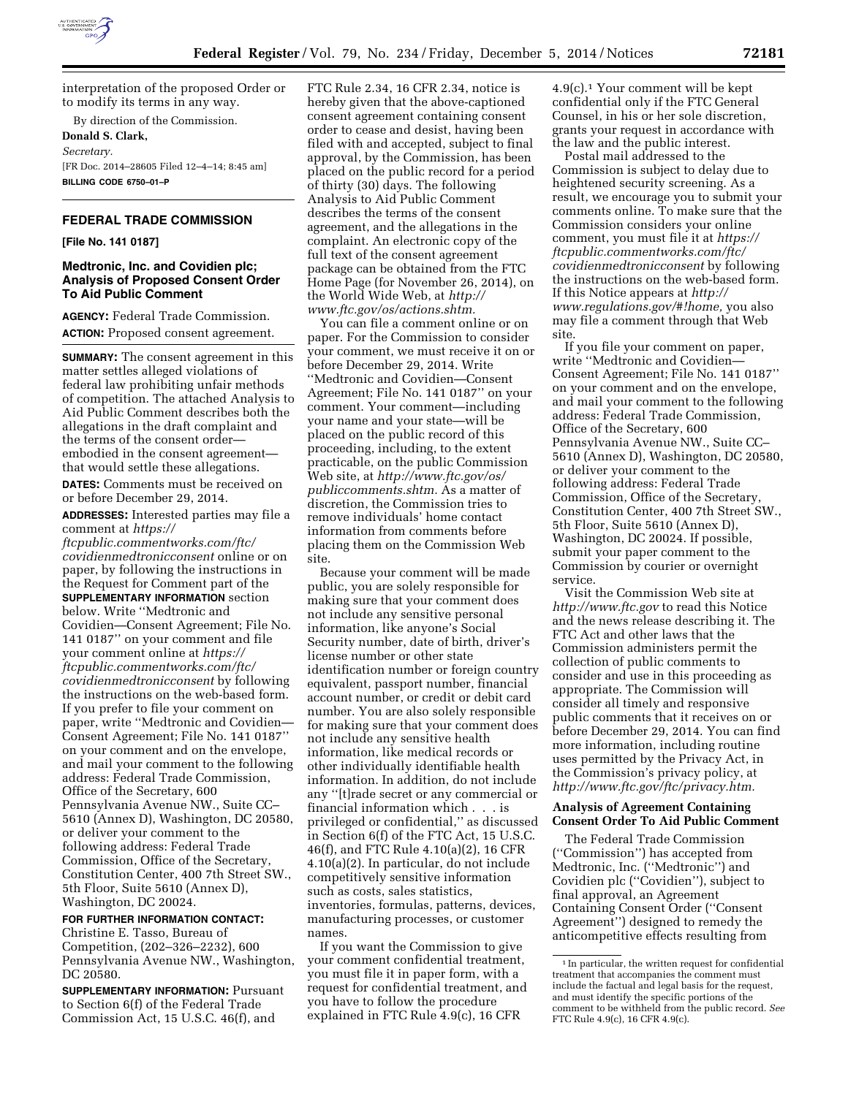

interpretation of the proposed Order or to modify its terms in any way.

By direction of the Commission.

**Donald S. Clark,**  *Secretary.*  [FR Doc. 2014–28605 Filed 12–4–14; 8:45 am] **BILLING CODE 6750–01–P** 

# **FEDERAL TRADE COMMISSION**

**[File No. 141 0187]** 

# **Medtronic, Inc. and Covidien plc; Analysis of Proposed Consent Order To Aid Public Comment**

**AGENCY:** Federal Trade Commission. **ACTION:** Proposed consent agreement.

**SUMMARY:** The consent agreement in this matter settles alleged violations of federal law prohibiting unfair methods of competition. The attached Analysis to Aid Public Comment describes both the allegations in the draft complaint and the terms of the consent order embodied in the consent agreement that would settle these allegations.

**DATES:** Comments must be received on or before December 29, 2014.

**ADDRESSES:** Interested parties may file a comment at *[https://](https://ftcpublic.commentworks.com/ftc/covidienmedtronicconsent)*

*[ftcpublic.commentworks.com/ftc/](https://ftcpublic.commentworks.com/ftc/covidienmedtronicconsent) [covidienmedtronicconsent](https://ftcpublic.commentworks.com/ftc/covidienmedtronicconsent)* online or on paper, by following the instructions in the Request for Comment part of the **SUPPLEMENTARY INFORMATION** section below. Write ''Medtronic and Covidien—Consent Agreement; File No. 141 0187'' on your comment and file your comment online at *[https://](https://ftcpublic.commentworks.com/ftc/covidienmedtronicconsent) [ftcpublic.commentworks.com/ftc/](https://ftcpublic.commentworks.com/ftc/covidienmedtronicconsent) [covidienmedtronicconsent](https://ftcpublic.commentworks.com/ftc/covidienmedtronicconsent)* by following the instructions on the web-based form. If you prefer to file your comment on paper, write ''Medtronic and Covidien— Consent Agreement; File No. 141 0187'' on your comment and on the envelope, and mail your comment to the following address: Federal Trade Commission, Office of the Secretary, 600 Pennsylvania Avenue NW., Suite CC– 5610 (Annex D), Washington, DC 20580, or deliver your comment to the following address: Federal Trade Commission, Office of the Secretary, Constitution Center, 400 7th Street SW., 5th Floor, Suite 5610 (Annex D), Washington, DC 20024.

### **FOR FURTHER INFORMATION CONTACT:**

Christine E. Tasso, Bureau of Competition, (202–326–2232), 600 Pennsylvania Avenue NW., Washington, DC 20580.

**SUPPLEMENTARY INFORMATION:** Pursuant to Section 6(f) of the Federal Trade Commission Act, 15 U.S.C. 46(f), and

FTC Rule 2.34, 16 CFR 2.34, notice is hereby given that the above-captioned consent agreement containing consent order to cease and desist, having been filed with and accepted, subject to final approval, by the Commission, has been placed on the public record for a period of thirty (30) days. The following Analysis to Aid Public Comment describes the terms of the consent agreement, and the allegations in the complaint. An electronic copy of the full text of the consent agreement package can be obtained from the FTC Home Page (for November 26, 2014), on the World Wide Web, at *[http://](http://www.ftc.gov/os/actions.shtm) [www.ftc.gov/os/actions.shtm.](http://www.ftc.gov/os/actions.shtm)* 

You can file a comment online or on paper. For the Commission to consider your comment, we must receive it on or before December 29, 2014. Write ''Medtronic and Covidien—Consent Agreement; File No. 141 0187'' on your comment. Your comment—including your name and your state—will be placed on the public record of this proceeding, including, to the extent practicable, on the public Commission Web site, at *[http://www.ftc.gov/os/](http://www.ftc.gov/os/publiccomments.shtm) [publiccomments.shtm.](http://www.ftc.gov/os/publiccomments.shtm)* As a matter of discretion, the Commission tries to remove individuals' home contact information from comments before placing them on the Commission Web site.

Because your comment will be made public, you are solely responsible for making sure that your comment does not include any sensitive personal information, like anyone's Social Security number, date of birth, driver's license number or other state identification number or foreign country equivalent, passport number, financial account number, or credit or debit card number. You are also solely responsible for making sure that your comment does not include any sensitive health information, like medical records or other individually identifiable health information. In addition, do not include any ''[t]rade secret or any commercial or financial information which . . . is privileged or confidential,'' as discussed in Section 6(f) of the FTC Act, 15 U.S.C. 46(f), and FTC Rule 4.10(a)(2), 16 CFR 4.10(a)(2). In particular, do not include competitively sensitive information such as costs, sales statistics, inventories, formulas, patterns, devices, manufacturing processes, or customer names.

If you want the Commission to give your comment confidential treatment, you must file it in paper form, with a request for confidential treatment, and you have to follow the procedure explained in FTC Rule 4.9(c), 16 CFR

4.9(c).1 Your comment will be kept confidential only if the FTC General Counsel, in his or her sole discretion, grants your request in accordance with the law and the public interest.

Postal mail addressed to the Commission is subject to delay due to heightened security screening. As a result, we encourage you to submit your comments online. To make sure that the Commission considers your online comment, you must file it at *[https://](https://ftcpublic.commentworks.com/ftc/covidienmedtronicconsent) [ftcpublic.commentworks.com/ftc/](https://ftcpublic.commentworks.com/ftc/covidienmedtronicconsent) [covidienmedtronicconsent](https://ftcpublic.commentworks.com/ftc/covidienmedtronicconsent)* by following the instructions on the web-based form. If this Notice appears at *[http://](http://www.regulations.gov/#!home) [www.regulations.gov/#!home,](http://www.regulations.gov/#!home)* you also may file a comment through that Web site.

If you file your comment on paper, write ''Medtronic and Covidien— Consent Agreement; File No. 141 0187'' on your comment and on the envelope, and mail your comment to the following address: Federal Trade Commission, Office of the Secretary, 600 Pennsylvania Avenue NW., Suite CC– 5610 (Annex D), Washington, DC 20580, or deliver your comment to the following address: Federal Trade Commission, Office of the Secretary, Constitution Center, 400 7th Street SW., 5th Floor, Suite 5610 (Annex D), Washington, DC 20024. If possible, submit your paper comment to the Commission by courier or overnight service.

Visit the Commission Web site at *<http://www.ftc.gov>*to read this Notice and the news release describing it. The FTC Act and other laws that the Commission administers permit the collection of public comments to consider and use in this proceeding as appropriate. The Commission will consider all timely and responsive public comments that it receives on or before December 29, 2014. You can find more information, including routine uses permitted by the Privacy Act, in the Commission's privacy policy, at *[http://www.ftc.gov/ftc/privacy.htm.](http://www.ftc.gov/ftc/privacy.htm)* 

## **Analysis of Agreement Containing Consent Order To Aid Public Comment**

The Federal Trade Commission (''Commission'') has accepted from Medtronic, Inc. (''Medtronic'') and Covidien plc (''Covidien''), subject to final approval, an Agreement Containing Consent Order (''Consent Agreement'') designed to remedy the anticompetitive effects resulting from

<sup>&</sup>lt;sup>1</sup> In particular, the written request for confidential treatment that accompanies the comment must include the factual and legal basis for the request, and must identify the specific portions of the comment to be withheld from the public record. *See*  FTC Rule 4.9(c), 16 CFR 4.9(c).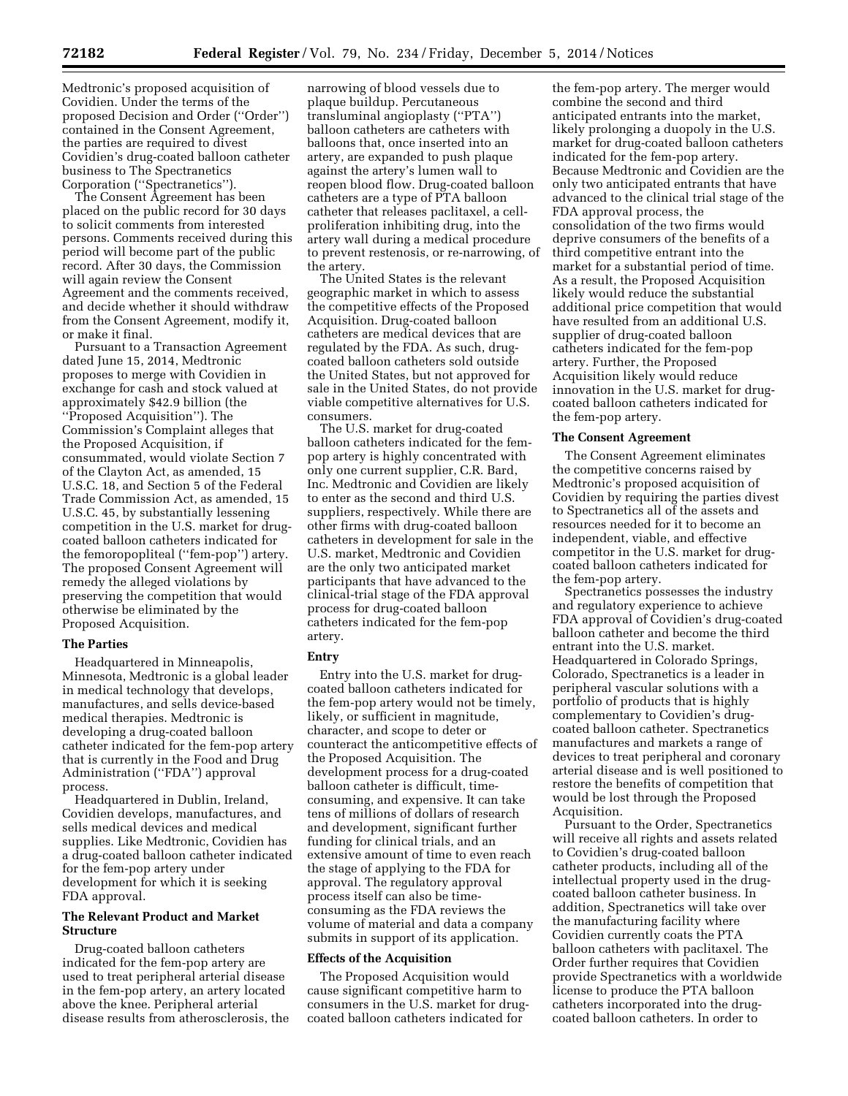Medtronic's proposed acquisition of Covidien. Under the terms of the proposed Decision and Order (''Order'') contained in the Consent Agreement, the parties are required to divest Covidien's drug-coated balloon catheter business to The Spectranetics Corporation (''Spectranetics'').

The Consent Agreement has been placed on the public record for 30 days to solicit comments from interested persons. Comments received during this period will become part of the public record. After 30 days, the Commission will again review the Consent Agreement and the comments received, and decide whether it should withdraw from the Consent Agreement, modify it, or make it final.

Pursuant to a Transaction Agreement dated June 15, 2014, Medtronic proposes to merge with Covidien in exchange for cash and stock valued at approximately \$42.9 billion (the ''Proposed Acquisition''). The Commission's Complaint alleges that the Proposed Acquisition, if consummated, would violate Section 7 of the Clayton Act, as amended, 15 U.S.C. 18, and Section 5 of the Federal Trade Commission Act, as amended, 15 U.S.C. 45, by substantially lessening competition in the U.S. market for drugcoated balloon catheters indicated for the femoropopliteal (''fem-pop'') artery. The proposed Consent Agreement will remedy the alleged violations by preserving the competition that would otherwise be eliminated by the Proposed Acquisition.

## **The Parties**

Headquartered in Minneapolis, Minnesota, Medtronic is a global leader in medical technology that develops, manufactures, and sells device-based medical therapies. Medtronic is developing a drug-coated balloon catheter indicated for the fem-pop artery that is currently in the Food and Drug Administration (''FDA'') approval process.

Headquartered in Dublin, Ireland, Covidien develops, manufactures, and sells medical devices and medical supplies. Like Medtronic, Covidien has a drug-coated balloon catheter indicated for the fem-pop artery under development for which it is seeking FDA approval.

## **The Relevant Product and Market Structure**

Drug-coated balloon catheters indicated for the fem-pop artery are used to treat peripheral arterial disease in the fem-pop artery, an artery located above the knee. Peripheral arterial disease results from atherosclerosis, the

narrowing of blood vessels due to plaque buildup. Percutaneous transluminal angioplasty (''PTA'') balloon catheters are catheters with balloons that, once inserted into an artery, are expanded to push plaque against the artery's lumen wall to reopen blood flow. Drug-coated balloon catheters are a type of PTA balloon catheter that releases paclitaxel, a cellproliferation inhibiting drug, into the artery wall during a medical procedure to prevent restenosis, or re-narrowing, of the artery.

The United States is the relevant geographic market in which to assess the competitive effects of the Proposed Acquisition. Drug-coated balloon catheters are medical devices that are regulated by the FDA. As such, drugcoated balloon catheters sold outside the United States, but not approved for sale in the United States, do not provide viable competitive alternatives for U.S. consumers.

The U.S. market for drug-coated balloon catheters indicated for the fempop artery is highly concentrated with only one current supplier, C.R. Bard, Inc. Medtronic and Covidien are likely to enter as the second and third U.S. suppliers, respectively. While there are other firms with drug-coated balloon catheters in development for sale in the U.S. market, Medtronic and Covidien are the only two anticipated market participants that have advanced to the clinical-trial stage of the FDA approval process for drug-coated balloon catheters indicated for the fem-pop artery.

## **Entry**

Entry into the U.S. market for drugcoated balloon catheters indicated for the fem-pop artery would not be timely, likely, or sufficient in magnitude, character, and scope to deter or counteract the anticompetitive effects of the Proposed Acquisition. The development process for a drug-coated balloon catheter is difficult, timeconsuming, and expensive. It can take tens of millions of dollars of research and development, significant further funding for clinical trials, and an extensive amount of time to even reach the stage of applying to the FDA for approval. The regulatory approval process itself can also be timeconsuming as the FDA reviews the volume of material and data a company submits in support of its application.

### **Effects of the Acquisition**

The Proposed Acquisition would cause significant competitive harm to consumers in the U.S. market for drugcoated balloon catheters indicated for

the fem-pop artery. The merger would combine the second and third anticipated entrants into the market, likely prolonging a duopoly in the U.S. market for drug-coated balloon catheters indicated for the fem-pop artery. Because Medtronic and Covidien are the only two anticipated entrants that have advanced to the clinical trial stage of the FDA approval process, the consolidation of the two firms would deprive consumers of the benefits of a third competitive entrant into the market for a substantial period of time. As a result, the Proposed Acquisition likely would reduce the substantial additional price competition that would have resulted from an additional U.S. supplier of drug-coated balloon catheters indicated for the fem-pop artery. Further, the Proposed Acquisition likely would reduce innovation in the U.S. market for drugcoated balloon catheters indicated for the fem-pop artery.

#### **The Consent Agreement**

The Consent Agreement eliminates the competitive concerns raised by Medtronic's proposed acquisition of Covidien by requiring the parties divest to Spectranetics all of the assets and resources needed for it to become an independent, viable, and effective competitor in the U.S. market for drugcoated balloon catheters indicated for the fem-pop artery.

Spectranetics possesses the industry and regulatory experience to achieve FDA approval of Covidien's drug-coated balloon catheter and become the third entrant into the U.S. market. Headquartered in Colorado Springs, Colorado, Spectranetics is a leader in peripheral vascular solutions with a portfolio of products that is highly complementary to Covidien's drugcoated balloon catheter. Spectranetics manufactures and markets a range of devices to treat peripheral and coronary arterial disease and is well positioned to restore the benefits of competition that would be lost through the Proposed Acquisition.

Pursuant to the Order, Spectranetics will receive all rights and assets related to Covidien's drug-coated balloon catheter products, including all of the intellectual property used in the drugcoated balloon catheter business. In addition, Spectranetics will take over the manufacturing facility where Covidien currently coats the PTA balloon catheters with paclitaxel. The Order further requires that Covidien provide Spectranetics with a worldwide license to produce the PTA balloon catheters incorporated into the drugcoated balloon catheters. In order to